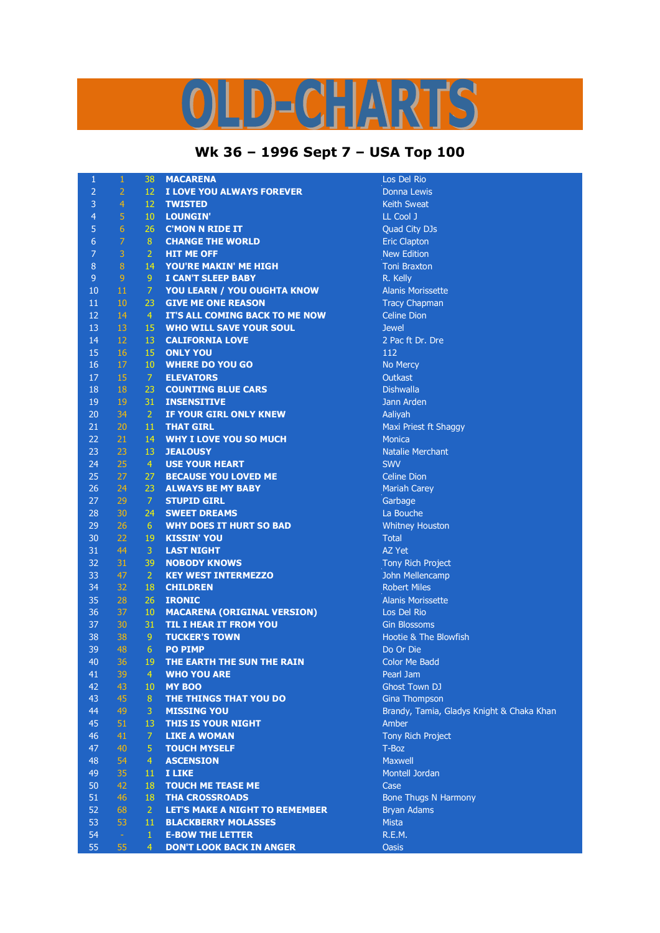## LD-CHARTS

## **Wk 36 – 1996 Sept 7 – USA Top 100**

| 1              | $\,1\,$        | 38              | <b>MACARENA</b>                       | Los Del Rio                               |
|----------------|----------------|-----------------|---------------------------------------|-------------------------------------------|
| $\overline{2}$ | $\overline{2}$ | $12 -$          | I LOVE YOU ALWAYS FOREVER             | <b>Donna Lewis</b>                        |
| 3              | $\overline{4}$ | 12 <sup>7</sup> | <b>TWISTED</b>                        | <b>Keith Sweat</b>                        |
| $\overline{4}$ | $\overline{5}$ | 10 <sup>°</sup> | <b>LOUNGIN'</b>                       | LL Cool J                                 |
| 5              | $6\phantom{1}$ | 26 <sup>2</sup> | <b>C'MON N RIDE IT</b>                | Quad City DJs                             |
| 6              | $\overline{7}$ | 8               | <b>CHANGE THE WORLD</b>               | <b>Eric Clapton</b>                       |
| $\overline{7}$ | 3              | $\overline{2}$  | <b>HIT ME OFF</b>                     | <b>New Edition</b>                        |
| 8              | $\, 8$         | 14              | YOU'RE MAKIN' ME HIGH                 | <b>Toni Braxton</b>                       |
| $\mathsf 9$    | $\overline{9}$ | 9               | <b>I CAN'T SLEEP BABY</b>             | R. Kelly                                  |
| 10             | 11             | $\overline{7}$  | YOU LEARN / YOU OUGHTA KNOW           | <b>Alanis Morissette</b>                  |
| 11             | 10             | 23              | <b>GIVE ME ONE REASON</b>             | <b>Tracy Chapman</b>                      |
| 12             | 14             | $\overline{4}$  | IT'S ALL COMING BACK TO ME NOW        | <b>Celine Dion</b>                        |
| 13             | 13             | 15              | <b>WHO WILL SAVE YOUR SOUL</b>        | <b>Jewel</b>                              |
| 14             | 12             | 13              | <b>CALIFORNIA LOVE</b>                | 2 Pac ft Dr. Dre                          |
| 15             | 16             | 15              | <b>ONLY YOU</b>                       | 112                                       |
| 16             | 17             | $10-10$         | <b>WHERE DO YOU GO</b>                | No Mercy                                  |
| 17             | 15             | 7 <sup>1</sup>  | <b>ELEVATORS</b>                      | Outkast                                   |
| 18             | 18             | $23 -$          | <b>COUNTING BLUE CARS</b>             | <b>Dishwalla</b>                          |
| 19             | 19             | 31              | <b>INSENSITIVE</b>                    | Jann Arden                                |
| 20             | 34             | $\overline{2}$  | IF YOUR GIRL ONLY KNEW                | Aaliyah                                   |
| 21             | 20             | 11              | <b>THAT GIRL</b>                      | Maxi Priest ft Shaggy                     |
| 22             | 21             | 14              | <b>WHY I LOVE YOU SO MUCH</b>         | <b>Monica</b>                             |
| 23             | 23             | 13              | <b>JEALOUSY</b>                       | <b>Natalie Merchant</b>                   |
| 24             | 25             | $\overline{4}$  | <b>USE YOUR HEART</b>                 | <b>SWV</b>                                |
| 25             | 27             | 27 <sup>2</sup> | <b>BECAUSE YOU LOVED ME</b>           | <b>Celine Dion</b>                        |
| 26             | 24             | $23 -$          | <b>ALWAYS BE MY BABY</b>              | <b>Mariah Carey</b>                       |
| 27             | 29             | $\overline{7}$  | <b>STUPID GIRL</b>                    | Garbage                                   |
| 28             | 30             | 24              | <b>SWEET DREAMS</b>                   | La Bouche                                 |
| 29             | 26             | 6               | <b>WHY DOES IT HURT SO BAD</b>        | <b>Whitney Houston</b>                    |
| 30             | 22             | 19              | <b>KISSIN' YOU</b>                    | <b>Total</b>                              |
| 31             | 44             | $\overline{3}$  | <b>LAST NIGHT</b>                     | AZ Yet                                    |
| 32             | 31             | 39              | <b>NOBODY KNOWS</b>                   | Tony Rich Project                         |
| 33             | 47             | 2 <sup>1</sup>  | <b>KEY WEST INTERMEZZO</b>            | John Mellencamp                           |
| 34             | 32             | 18              | <b>CHILDREN</b>                       | <b>Robert Miles</b>                       |
| 35             | 28             | 26              | <b>IRONIC</b>                         | <b>Alanis Morissette</b>                  |
| 36             | 37             | 10              | <b>MACARENA (ORIGINAL VERSION)</b>    | Los Del Rio                               |
| 37             | 30             | 31              | <b>TIL I HEAR IT FROM YOU</b>         | <b>Gin Blossoms</b>                       |
| 38             | 38             | 9               | <b>TUCKER'S TOWN</b>                  | Hootie & The Blowfish                     |
| 39             | 48             | 6 <sup>1</sup>  | <b>PO PIMP</b>                        | Do Or Die                                 |
| 40             | 36             | 19              | THE EARTH THE SUN THE RAIN            | <b>Color Me Badd</b>                      |
| 41             | 39             | 4               | <b>WHO YOU ARE</b>                    | Pearl Jam                                 |
| 42             | 43             | 10 <sup>°</sup> | <b>MY BOO</b>                         | Ghost Town DJ                             |
| 43             | 45             | 8               | THE THINGS THAT YOU DO                | Gina Thompson                             |
| 44             | 49             | 3               | <b>MISSING YOU</b>                    | Brandy, Tamia, Gladys Knight & Chaka Khan |
| 45             | 51             | 13              | <b>THIS IS YOUR NIGHT</b>             | Amber                                     |
| 46             | 41             | $\overline{7}$  | <b>LIKE A WOMAN</b>                   | <b>Tony Rich Project</b>                  |
| 47             | 40             | 5 <sup>1</sup>  | <b>TOUCH MYSELF</b>                   | T-Boz                                     |
| 48             | 54             | $\overline{4}$  | <b>ASCENSION</b>                      | Maxwell                                   |
| 49             | 35             | 11              | <b>I LIKE</b>                         | Montell Jordan                            |
| 50             | 42             | 18              | <b>TOUCH ME TEASE ME</b>              | Case                                      |
| 51             | 46             | 18              | <b>THA CROSSROADS</b>                 | <b>Bone Thugs N Harmony</b>               |
| 52             | 68             | 2 <sup>1</sup>  | <b>LET'S MAKE A NIGHT TO REMEMBER</b> | <b>Bryan Adams</b>                        |
| 53             | 53             | 11              | <b>BLACKBERRY MOLASSES</b>            | Mista                                     |
| 54             | $\omega$       | $\mathbf{1}$    | <b>E-BOW THE LETTER</b>               | R.E.M.                                    |
| 55             | 55             | $\overline{4}$  | <b>DON'T LOOK BACK IN ANGER</b>       | <b>Oasis</b>                              |